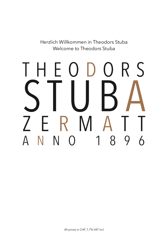Herzlich Willkommen in Theodors Stuba Welcome to Theodors Stuba

# $\mathsf{S}$ R F I.  $( ) \ \vert )$  $\overline{()}$ R M  $\mathcal{I}$  $1$ N N  $\overline{A}$ 8 9  $\overline{6}$  $\bigcap$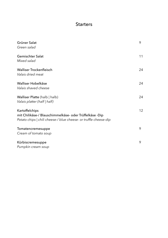# **Starters**

| Grüner Salat<br>Green salad                                                                                                                   | 9  |
|-----------------------------------------------------------------------------------------------------------------------------------------------|----|
| <b>Gemischter Salat</b><br>Mixed salad                                                                                                        | 11 |
| <b>Walliser Trockenfleisch</b><br>Valais dried meat                                                                                           | 24 |
| Walliser Hobelkäse<br>Valais shaved cheese                                                                                                    | 24 |
| Walliser Platte (halb   halb)<br>Valais platter (half   half)                                                                                 | 24 |
| Kartoffelchips<br>mit Chilikäse-/ Blauschimmelkäse- oder Trüffelkäse -Dip<br>Potato chips   chili cheese-/ blue cheese- or truffle cheese-dip | 12 |
| Tomatencremesuppe<br>Cream of tomato soup                                                                                                     | 9  |
| Kürbiscremesuppe<br>Pumpkin cream soup                                                                                                        | 9  |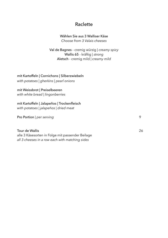## Raclette

#### Wählen Sie aus 3 Walliser Käse *Choose from 3 Valais cheeses*

Val de Bagnes - cremig würzig | *creamy spicy* Wallis 65 - kräftig | *strong* Aletsch - cremig mild | *creamy mild*

mit Kartoffeln | Cornichons | Silberzwiebeln *with potatoes | gherkins | pearl onions*

#### mit Weissbrot | Preiselbeeren

*with white bread | lingonberries* 

# mit Kartoffeln | Jalapeños | Trockenfleisch

*with potatoes | jalape*ñ*os | dried meat* 

Pro Portion | *per serving* **999** 

Tour de Wallis 26 alle 3 Käsesorten in Folge mit passender Beilage *all 3 cheeses in a row each with matching sides*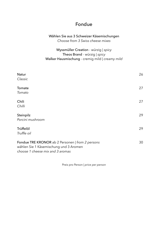## Fondue

### Wählen Sie aus 3 Schweizer Käsemischungen *Choose from 3 Swiss cheese mixes*

Wyssmüller Creation - würzig | *spicy* Theos Brand - würzig | *spicy* Walker Hausmischung - cremig mild | *creamy mild*

| <b>Natur</b>                                                                                                                   | 26 |
|--------------------------------------------------------------------------------------------------------------------------------|----|
| Classic                                                                                                                        |    |
| Tomate                                                                                                                         | 27 |
| Tomato                                                                                                                         |    |
| Chili                                                                                                                          | 27 |
| Chilli                                                                                                                         |    |
| Steinpilz                                                                                                                      | 29 |
| Porcini mushroom                                                                                                               |    |
| Trüffelöl                                                                                                                      | 29 |
| Truffle oil                                                                                                                    |    |
| Fondue TRE KRONOR ab 2 Personen   from 2 persons<br>wählen Sie 1 Käsemischung und 3 Aromen<br>choose 1 cheese mix and 3 aromas | 30 |

Preis pro Person | *price per person*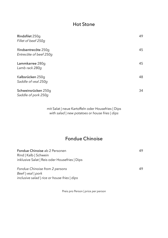# Hot Stone

| Rindsfilet 250q<br>Fillet of beef 250g        | 49 |
|-----------------------------------------------|----|
| Rindsentrecôte 250g<br>Entrecôte of beef 250q | 45 |
| Lammkarree 280q<br>Lamb rack 280g             | 45 |
| Kalbsrücken 250g<br>Saddle of veal 250q       | 48 |
| Schweinsrücken 250g<br>Saddle of pork 250g    | 34 |

mit Salat | neue Kartoffeln oder Housefries | Dips *with salad | new potatoes or house fries | dips* 

# Fondue Chinoise

| Fondue Chinoise ab 2 Personen<br>Rind   Kalb   Schwein<br>inklusive Salat   Reis oder Housefries   Dips | 49. |
|---------------------------------------------------------------------------------------------------------|-----|
| Fondue Chinoise from 2 persons<br>Beef   veal   pork<br>inclusive salad   rice or house fries   dips    | 49  |

Preis pro Person | *price per person*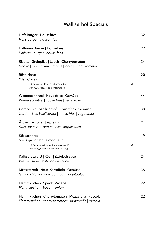# Walliserhof Specials

| Hofs Burger   Housefries                                                                              | 32   |
|-------------------------------------------------------------------------------------------------------|------|
| Hof's burger   house fries                                                                            |      |
| Halloumi Burger   Housefries                                                                          | 29   |
| Halloumi burger   house fries                                                                         |      |
| Risotto   Steinpilze   Lauch   Cherrytomaten<br>Risotto   porcini mushrooms   leeks   cherry tomatoes | 24   |
| Rösti Natur                                                                                           | 20   |
| Rösti Classic                                                                                         |      |
| mit Schinken, Käse, Ei oder Tomaten<br>with ham, cheese, egg or tomatoes                              | $+2$ |
| Wienerschnitzel   Housefries   Gemüse                                                                 | 44   |
| Wienerschnitzel   house fries   vegetables                                                            |      |
| Cordon Bleu Walliserhof   Housefries   Gemüse                                                         | 38   |
| Cordon Bleu Walliserhof   house fries   vegetables                                                    |      |
| Alplermagronen   Apfelmus                                                                             | 24   |
| Swiss macaroni and cheese   applesauce                                                                |      |
| Käseschnitte                                                                                          | 19   |
| Swiss giant croque monsieur                                                                           |      |
| mit Schinken, Ananas, Tomaten oder Ei<br>with ham, pineapple, tomatoes or egg                         | $+2$ |
| Kalbsbratwurst   Rösti   Zwiebelsauce                                                                 | 24   |
| Veal sausage   rösti   onion sauce                                                                    |      |
| Mistkratzerli   Neue Kartoffeln   Gemüse                                                              | 38   |
| Grilled chicken   new potatoes   vegetables                                                           |      |
| Flammkuchen   Speck   Zwiebel                                                                         | 22   |
| Flammkuchen   bacon   onion                                                                           |      |
| Flammkuchen   Cherrytomaten   Mozzarella   Ruccola                                                    | 22   |
| Flammkuchen   cherry tomatoes   mozzarella   ruccola                                                  |      |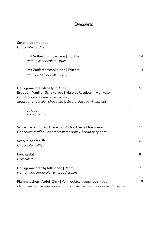# **Desserts**

| Schokoladenfondue<br>Chocolate fondue                                                                                                                                                               |      |                |
|-----------------------------------------------------------------------------------------------------------------------------------------------------------------------------------------------------|------|----------------|
| mit Vollmilchschokolade   Früchte<br>with milk chocolate   fruits                                                                                                                                   |      | 14             |
| mit Zartbitterschokolade   Früchte<br>with dark chocolate   fruits                                                                                                                                  |      | 14             |
| Hausgemachte Glace (pro Kugel)<br>Erdbeer   Vanille   Schokolade   Absolut Raspberri   Aprikose<br>Homemade ice cream (per scoop)<br>Strawberry   vanilla   chocolate   Absolut Raspberri   apricot |      | 5              |
| mit Rahm<br>with whipped cream                                                                                                                                                                      | $+1$ |                |
| Schokoladentrüffel   Glace mit Vodka Absolut Raspberri<br>Chocolate truffles   ice cream with vodka Absolut Raspberri                                                                               |      | 11             |
| Schokoladentrüffel<br>Chocolate truffles                                                                                                                                                            |      | 6              |
| Fruchtsalat<br>Fruit salad                                                                                                                                                                          |      | 8              |
| Hausgemachter Apfelkuchen   Rahm<br>Homemade apple pie   whipped cream                                                                                                                              |      | $\overline{7}$ |
| Flammkuchen   Apfel   Zimt   Vanilleglace empfolen für 2 Personen<br>Flammkuchen   apple   cinnamon   vanilla ice cream recommended for 2 persons                                                   |      | 19             |